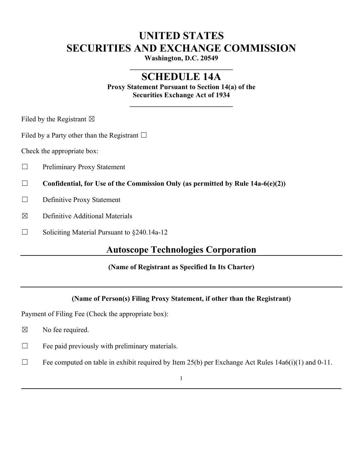# **UNITED STATES SECURITIES AND EXCHANGE COMMISSION**

**Washington, D.C. 20549 \_\_\_\_\_\_\_\_\_\_\_\_\_\_\_\_\_\_\_\_\_\_\_\_\_\_\_\_\_**

# **SCHEDULE 14A**

**Proxy Statement Pursuant to Section 14(a) of the Securities Exchange Act of 1934**

**\_\_\_\_\_\_\_\_\_\_\_\_\_\_\_\_\_\_\_\_\_\_\_\_\_\_\_\_\_**

Filed by the Registrant  $\boxtimes$ 

Filed by a Party other than the Registrant  $\Box$ 

Check the appropriate box:

- ☐ Preliminary Proxy Statement
- ☐ **Confidential, for Use of the Commission Only (as permitted by Rule 14a-6(e)(2))**
- □ Definitive Proxy Statement
- $\boxtimes$  Definitive Additional Materials
- $\Box$  Soliciting Material Pursuant to  $\&$  240.14a-12

# **Autoscope Technologies Corporation**

### **(Name of Registrant as Specified In Its Charter)**

## **(Name of Person(s) Filing Proxy Statement, if other than the Registrant)**

Payment of Filing Fee (Check the appropriate box):

- $\boxtimes$  No fee required.
- $\Box$  Fee paid previously with preliminary materials.
- $\Box$  Fee computed on table in exhibit required by Item 25(b) per Exchange Act Rules 14a6(i)(1) and 0-11.

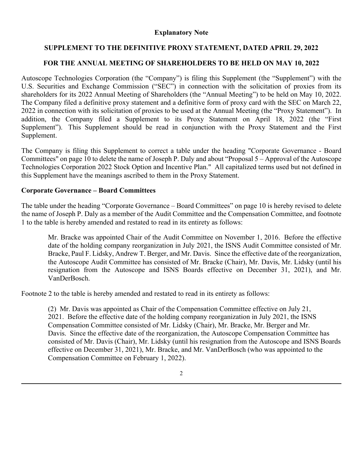#### **Explanatory Note**

### **SUPPLEMENT TO THE DEFINITIVE PROXY STATEMENT, DATED APRIL 29, 2022**

### **FOR THE ANNUAL MEETING OF SHAREHOLDERS TO BE HELD ON MAY 10, 2022**

Autoscope Technologies Corporation (the "Company") is filing this Supplement (the "Supplement") with the U.S. Securities and Exchange Commission ("SEC") in connection with the solicitation of proxies from its shareholders for its 2022 Annual Meeting of Shareholders (the "Annual Meeting") to be held on May 10, 2022. The Company filed a definitive proxy statement and a definitive form of proxy card with the SEC on March 22, 2022 in connection with its solicitation of proxies to be used at the Annual Meeting (the "Proxy Statement"). In addition, the Company filed a Supplement to its Proxy Statement on April 18, 2022 (the "First Supplement"). This Supplement should be read in conjunction with the Proxy Statement and the First Supplement.

The Company is filing this Supplement to correct a table under the heading "Corporate Governance - Board Committees" on page 10 to delete the name of Joseph P. Daly and about "Proposal 5 – Approval of the Autoscope Technologies Corporation 2022 Stock Option and Incentive Plan." All capitalized terms used but not defined in this Supplement have the meanings ascribed to them in the Proxy Statement.

#### **Corporate Governance – Board Committees**

The table under the heading "Corporate Governance – Board Committees" on page 10 is hereby revised to delete the name of Joseph P. Daly as a member of the Audit Committee and the Compensation Committee, and footnote 1 to the table is hereby amended and restated to read in its entirety as follows:

Mr. Bracke was appointed Chair of the Audit Committee on November 1, 2016. Before the effective date of the holding company reorganization in July 2021, the ISNS Audit Committee consisted of Mr. Bracke, Paul F. Lidsky, Andrew T. Berger, and Mr. Davis. Since the effective date of the reorganization, the Autoscope Audit Committee has consisted of Mr. Bracke (Chair), Mr. Davis, Mr. Lidsky (until his resignation from the Autoscope and ISNS Boards effective on December 31, 2021), and Mr. VanDerBosch.

Footnote 2 to the table is hereby amended and restated to read in its entirety as follows:

(2) Mr. Davis was appointed as Chair of the Compensation Committee effective on July 21, 2021. Before the effective date of the holding company reorganization in July 2021, the ISNS Compensation Committee consisted of Mr. Lidsky (Chair), Mr. Bracke, Mr. Berger and Mr. Davis. Since the effective date of the reorganization, the Autoscope Compensation Committee has consisted of Mr. Davis (Chair), Mr. Lidsky (until his resignation from the Autoscope and ISNS Boards effective on December 31, 2021), Mr. Bracke, and Mr. VanDerBosch (who was appointed to the Compensation Committee on February 1, 2022).

2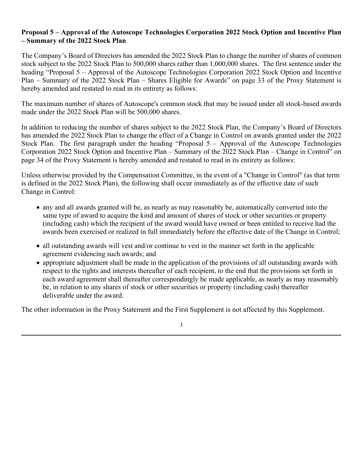### **Proposal 5 – Approval of the Autoscope Technologies Corporation 2022 Stock Option and Incentive Plan – Summary of the 2022 Stock Plan**

The Company's Board of Directors has amended the 2022 Stock Plan to change the number of shares of common stock subject to the 2022 Stock Plan to 500,000 shares rather than 1,000,000 shares. The first sentence under the heading "Proposal 5 – Approval of the Autoscope Technologies Corporation 2022 Stock Option and Incentive Plan – Summary of the 2022 Stock Plan – Shares Eligible for Awards" on page 33 of the Proxy Statement is hereby amended and restated to read in its entirety as follows:

The maximum number of shares of Autoscope's common stock that may be issued under all stock-based awards made under the 2022 Stock Plan will be 500,000 shares.

In addition to reducing the number of shares subject to the 2022 Stock Plan, the Company's Board of Directors has amended the 2022 Stock Plan to change the effect of a Change in Control on awards granted under the 2022 Stock Plan. The first paragraph under the heading "Proposal 5 – Approval of the Autoscope Technologies Corporation 2022 Stock Option and Incentive Plan – Summary of the 2022 Stock Plan – Change in Control" on page 34 of the Proxy Statement is hereby amended and restated to read in its entirety as follows:

Unless otherwise provided by the Compensation Committee, in the event of a "Change in Control" (as that term is defined in the 2022 Stock Plan), the following shall occur immediately as of the effective date of such Change in Control:

- any and all awards granted will be, as nearly as may reasonably be, automatically converted into the same type of award to acquire the kind and amount of shares of stock or other securities or property (including cash) which the recipient of the award would have owned or been entitled to receive had the awards been exercised or realized in full immediately before the effective date of the Change in Control;
- all outstanding awards will vest and/or continue to vest in the manner set forth in the applicable agreement evidencing such awards; and
- appropriate adjustment shall be made in the application of the provisions of all outstanding awards with respect to the rights and interests thereafter of each recipient, to the end that the provisions set forth in each award agreement shall thereafter correspondingly be made applicable, as nearly as may reasonably be, in relation to any shares of stock or other securities or property (including cash) thereafter deliverable under the award.

The other information in the Proxy Statement and the First Supplement is not affected by this Supplement.